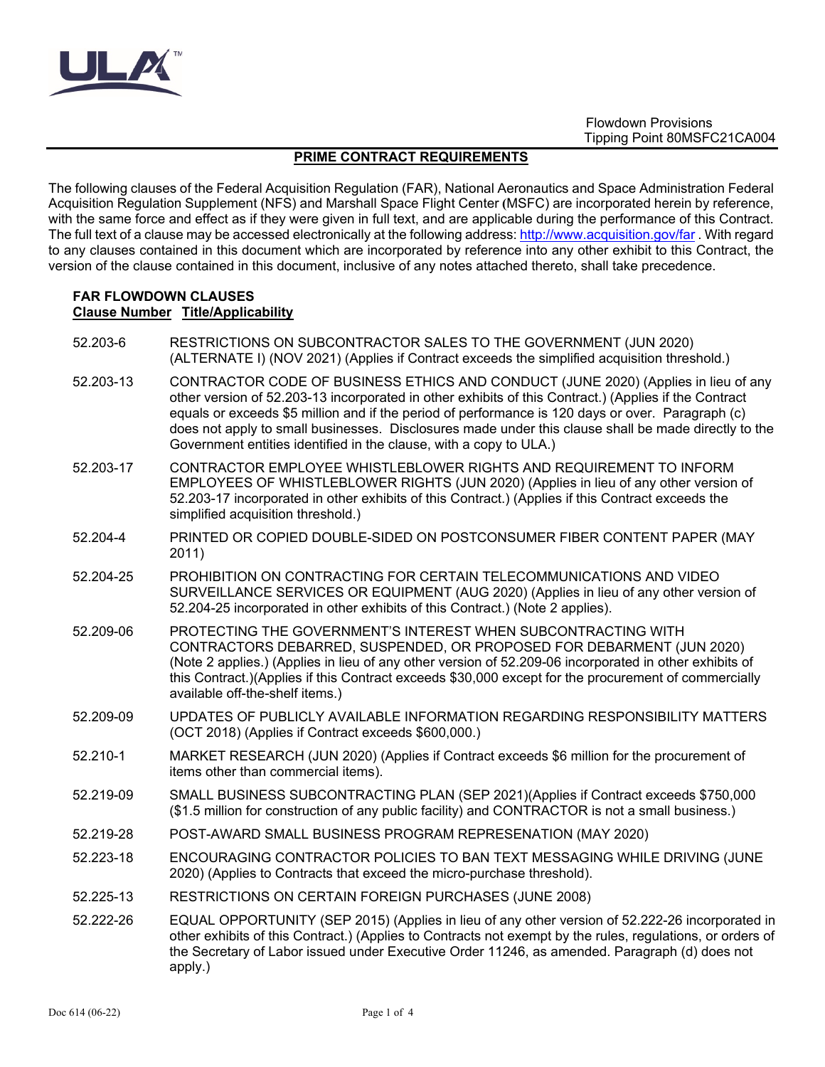

## **PRIME CONTRACT REQUIREMENTS**

The following clauses of the Federal Acquisition Regulation (FAR), National Aeronautics and Space Administration Federal Acquisition Regulation Supplement (NFS) and Marshall Space Flight Center **(**MSFC) are incorporated herein by reference, with the same force and effect as if they were given in full text, and are applicable during the performance of this Contract. The full text of a clause may be accessed electronically at the following address:<http://www.acquisition.gov/far>. With regard to any clauses contained in this document which are incorporated by reference into any other exhibit to this Contract, the version of the clause contained in this document, inclusive of any notes attached thereto, shall take precedence.

#### **FAR FLOWDOWN CLAUSES Clause Number Title/Applicability**

52.203-6 RESTRICTIONS ON SUBCONTRACTOR SALES TO THE GOVERNMENT (JUN 2020) (ALTERNATE I) (NOV 2021) (Applies if Contract exceeds the simplified acquisition threshold.) 52.203-13 CONTRACTOR CODE OF BUSINESS ETHICS AND CONDUCT (JUNE 2020) (Applies in lieu of any other version of 52.203-13 incorporated in other exhibits of this Contract.) (Applies if the Contract equals or exceeds \$5 million and if the period of performance is 120 days or over. Paragraph (c) does not apply to small businesses. Disclosures made under this clause shall be made directly to the Government entities identified in the clause, with a copy to ULA.) 52.203-17 CONTRACTOR EMPLOYEE WHISTLEBLOWER RIGHTS AND REQUIREMENT TO INFORM EMPLOYEES OF WHISTLEBLOWER RIGHTS (JUN 2020) (Applies in lieu of any other version of 52.203-17 incorporated in other exhibits of this Contract.) (Applies if this Contract exceeds the simplified acquisition threshold.) 52.204-4 PRINTED OR COPIED DOUBLE-SIDED ON POSTCONSUMER FIBER CONTENT PAPER (MAY 2011) 52.204-25 PROHIBITION ON CONTRACTING FOR CERTAIN TELECOMMUNICATIONS AND VIDEO SURVEILLANCE SERVICES OR EQUIPMENT (AUG 2020) (Applies in lieu of any other version of 52.204-25 incorporated in other exhibits of this Contract.) (Note 2 applies). 52.209-06 PROTECTING THE GOVERNMENT'S INTEREST WHEN SUBCONTRACTING WITH CONTRACTORS DEBARRED, SUSPENDED, OR PROPOSED FOR DEBARMENT (JUN 2020) (Note 2 applies.) (Applies in lieu of any other version of 52.209-06 incorporated in other exhibits of this Contract.)(Applies if this Contract exceeds \$30,000 except for the procurement of commercially available off-the-shelf items.) 52.209-09 UPDATES OF PUBLICLY AVAILABLE INFORMATION REGARDING RESPONSIBILITY MATTERS (OCT 2018) (Applies if Contract exceeds \$600,000.) 52.210-1 MARKET RESEARCH (JUN 2020) (Applies if Contract exceeds \$6 million for the procurement of items other than commercial items). 52.219-09 SMALL BUSINESS SUBCONTRACTING PLAN (SEP 2021)(Applies if Contract exceeds \$750,000 (\$1.5 million for construction of any public facility) and CONTRACTOR is not a small business.) 52.219-28 POST-AWARD SMALL BUSINESS PROGRAM REPRESENATION (MAY 2020) 52.223-18 ENCOURAGING CONTRACTOR POLICIES TO BAN TEXT MESSAGING WHILE DRIVING (JUNE 2020) (Applies to Contracts that exceed the micro-purchase threshold). 52.225-13 RESTRICTIONS ON CERTAIN FOREIGN PURCHASES (JUNE 2008) 52.222-26 EQUAL OPPORTUNITY (SEP 2015) (Applies in lieu of any other version of 52.222-26 incorporated in other exhibits of this Contract.) (Applies to Contracts not exempt by the rules, regulations, or orders of the Secretary of Labor issued under Executive Order 11246, as amended. Paragraph (d) does not apply.)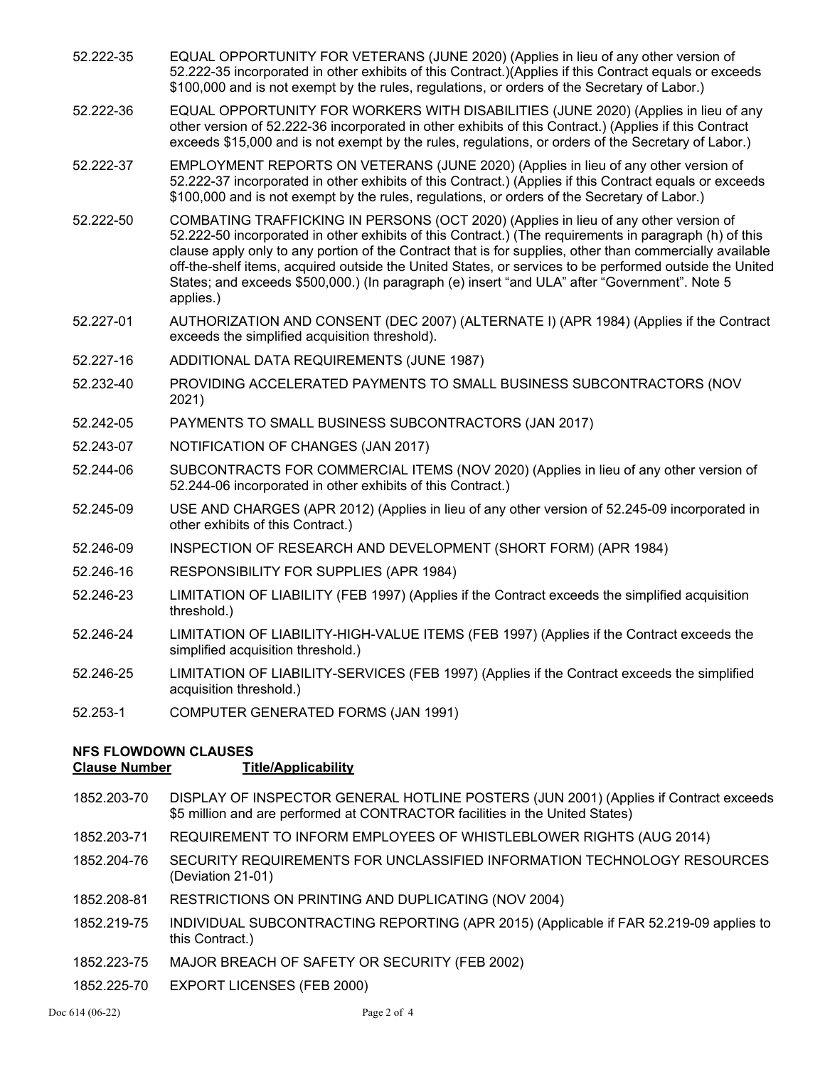- 52.222-35 EQUAL OPPORTUNITY FOR VETERANS (JUNE 2020) (Applies in lieu of any other version of 52.222-35 incorporated in other exhibits of this Contract.)(Applies if this Contract equals or exceeds \$100,000 and is not exempt by the rules, regulations, or orders of the Secretary of Labor.)
- 52.222-36 EQUAL OPPORTUNITY FOR WORKERS WITH DISABILITIES (JUNE 2020) (Applies in lieu of any other version of 52.222-36 incorporated in other exhibits of this Contract.) (Applies if this Contract exceeds \$15,000 and is not exempt by the rules, regulations, or orders of the Secretary of Labor.)
- 52.222-37 EMPLOYMENT REPORTS ON VETERANS (JUNE 2020) (Applies in lieu of any other version of 52.222-37 incorporated in other exhibits of this Contract.) (Applies if this Contract equals or exceeds \$100,000 and is not exempt by the rules, regulations, or orders of the Secretary of Labor.)
- 52.222-50 COMBATING TRAFFICKING IN PERSONS (OCT 2020) (Applies in lieu of any other version of 52.222-50 incorporated in other exhibits of this Contract.) (The requirements in paragraph (h) of this clause apply only to any portion of the Contract that is for supplies, other than commercially available off-the-shelf items, acquired outside the United States, or services to be performed outside the United States; and exceeds \$500,000.) (In paragraph (e) insert "and ULA" after "Government". Note 5 applies.)
- 52.227-01 AUTHORIZATION AND CONSENT (DEC 2007) (ALTERNATE I) (APR 1984) (Applies if the Contract exceeds the simplified acquisition threshold).
- 52.227-16 ADDITIONAL DATA REQUIREMENTS (JUNE 1987)
- 52.232-40 PROVIDING ACCELERATED PAYMENTS TO SMALL BUSINESS SUBCONTRACTORS (NOV 2021)
- 52.242-05 PAYMENTS TO SMALL BUSINESS SUBCONTRACTORS (JAN 2017)
- 52.243-07 NOTIFICATION OF CHANGES (JAN 2017)
- 52.244-06 SUBCONTRACTS FOR COMMERCIAL ITEMS (NOV 2020) (Applies in lieu of any other version of 52.244-06 incorporated in other exhibits of this Contract.)
- 52.245-09 USE AND CHARGES (APR 2012) (Applies in lieu of any other version of 52.245-09 incorporated in other exhibits of this Contract.)
- 52.246-09 INSPECTION OF RESEARCH AND DEVELOPMENT (SHORT FORM) (APR 1984)
- 52.246-16 RESPONSIBILITY FOR SUPPLIES (APR 1984)
- 52.246-23 LIMITATION OF LIABILITY (FEB 1997) (Applies if the Contract exceeds the simplified acquisition threshold.)
- 52.246-24 LIMITATION OF LIABILITY-HIGH-VALUE ITEMS (FEB 1997) (Applies if the Contract exceeds the simplified acquisition threshold.)
- 52.246-25 LIMITATION OF LIABILITY-SERVICES (FEB 1997) (Applies if the Contract exceeds the simplified acquisition threshold.)
- 52.253-1 COMPUTER GENERATED FORMS (JAN 1991)

# **NFS FLOWDOWN CLAUSES**

### **Clause Number Title/Applicability**

- 1852.203-70 DISPLAY OF INSPECTOR GENERAL HOTLINE POSTERS (JUN 2001) (Applies if Contract exceeds \$5 million and are performed at CONTRACTOR facilities in the United States)
- 1852.203-71 REQUIREMENT TO INFORM EMPLOYEES OF WHISTLEBLOWER RIGHTS (AUG 2014)
- 1852.204-76 SECURITY REQUIREMENTS FOR UNCLASSIFIED INFORMATION TECHNOLOGY RESOURCES (Deviation 21-01)
- 1852.208-81 RESTRICTIONS ON PRINTING AND DUPLICATING (NOV 2004)
- 1852.219-75 INDIVIDUAL SUBCONTRACTING REPORTING (APR 2015) (Applicable if FAR 52.219-09 applies to this Contract.)
- 1852.223-75 MAJOR BREACH OF SAFETY OR SECURITY (FEB 2002)
- 1852.225-70 EXPORT LICENSES (FEB 2000)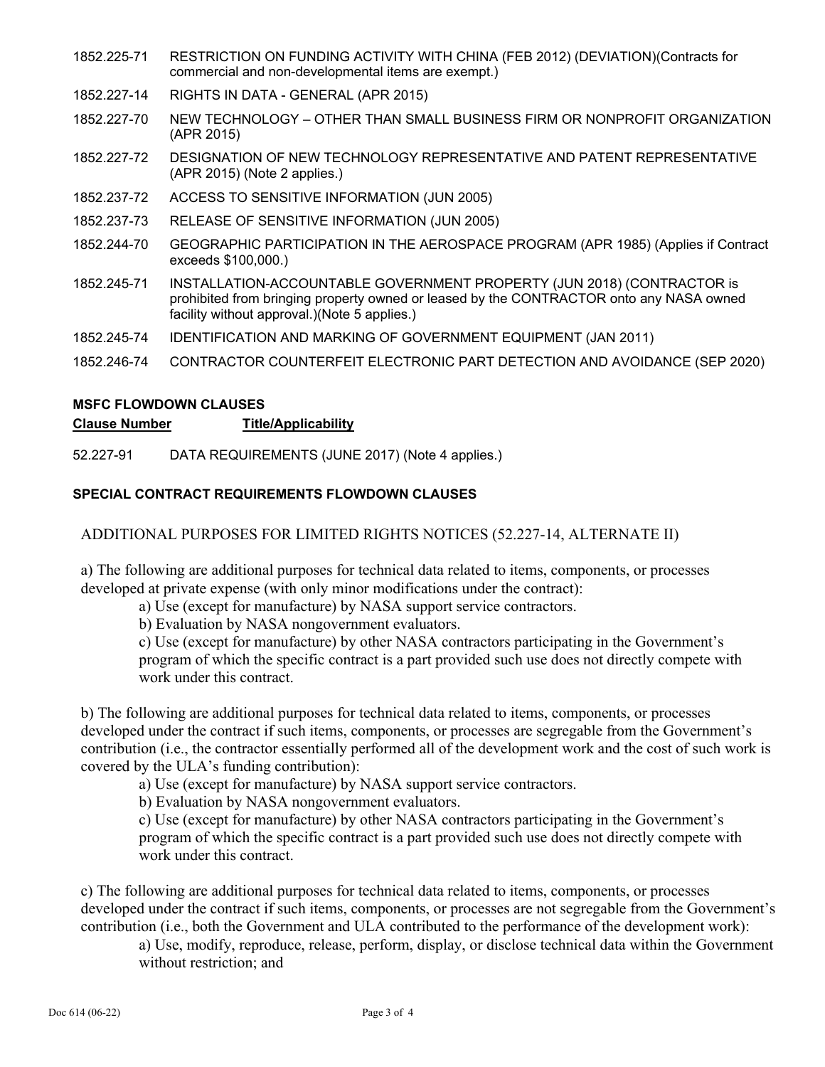- 1852.225-71 RESTRICTION ON FUNDING ACTIVITY WITH CHINA (FEB 2012) (DEVIATION)(Contracts for commercial and non-developmental items are exempt.)
- 1852.227-14 RIGHTS IN DATA GENERAL (APR 2015)
- 1852.227-70 NEW TECHNOLOGY OTHER THAN SMALL BUSINESS FIRM OR NONPROFIT ORGANIZATION (APR 2015)
- 1852.227-72 DESIGNATION OF NEW TECHNOLOGY REPRESENTATIVE AND PATENT REPRESENTATIVE (APR 2015) (Note 2 applies.)
- 1852.237-72 ACCESS TO SENSITIVE INFORMATION (JUN 2005)
- 1852.237-73 RELEASE OF SENSITIVE INFORMATION (JUN 2005)
- 1852.244-70 GEOGRAPHIC PARTICIPATION IN THE AEROSPACE PROGRAM (APR 1985) (Applies if Contract exceeds \$100,000.)
- 1852.245-71 INSTALLATION-ACCOUNTABLE GOVERNMENT PROPERTY (JUN 2018) (CONTRACTOR is prohibited from bringing property owned or leased by the CONTRACTOR onto any NASA owned facility without approval.)(Note 5 applies.)
- 1852.245-74 IDENTIFICATION AND MARKING OF GOVERNMENT EQUIPMENT (JAN 2011)
- 1852.246-74 CONTRACTOR COUNTERFEIT ELECTRONIC PART DETECTION AND AVOIDANCE (SEP 2020)

# **MSFC FLOWDOWN CLAUSES**

### **Clause Number Title/Applicability**

52.227-91 DATA REQUIREMENTS (JUNE 2017) (Note 4 applies.)

## **SPECIAL CONTRACT REQUIREMENTS FLOWDOWN CLAUSES**

# ADDITIONAL PURPOSES FOR LIMITED RIGHTS NOTICES (52.227-14, ALTERNATE II)

a) The following are additional purposes for technical data related to items, components, or processes developed at private expense (with only minor modifications under the contract):

a) Use (except for manufacture) by NASA support service contractors.

b) Evaluation by NASA nongovernment evaluators.

c) Use (except for manufacture) by other NASA contractors participating in the Government's program of which the specific contract is a part provided such use does not directly compete with work under this contract.

b) The following are additional purposes for technical data related to items, components, or processes developed under the contract if such items, components, or processes are segregable from the Government's contribution (i.e., the contractor essentially performed all of the development work and the cost of such work is covered by the ULA's funding contribution):

a) Use (except for manufacture) by NASA support service contractors.

b) Evaluation by NASA nongovernment evaluators.

c) Use (except for manufacture) by other NASA contractors participating in the Government's program of which the specific contract is a part provided such use does not directly compete with work under this contract.

c) The following are additional purposes for technical data related to items, components, or processes developed under the contract if such items, components, or processes are not segregable from the Government's contribution (i.e., both the Government and ULA contributed to the performance of the development work):

a) Use, modify, reproduce, release, perform, display, or disclose technical data within the Government without restriction; and